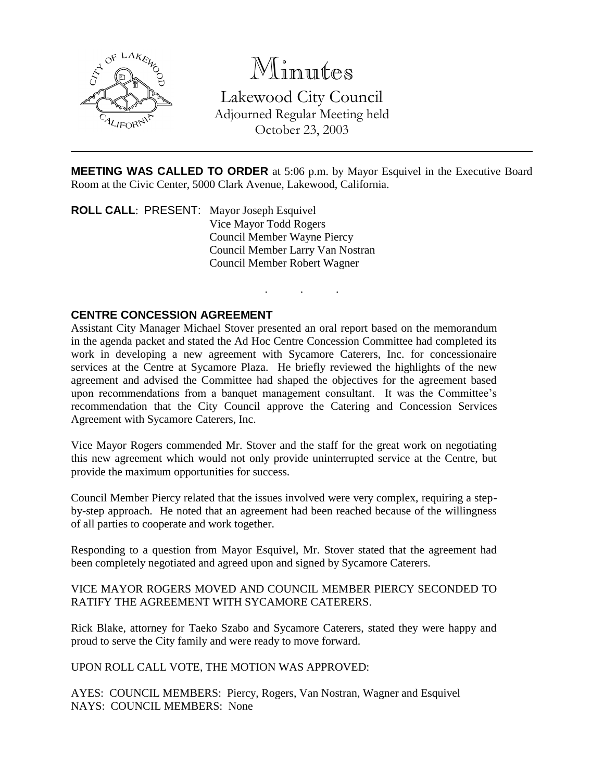

# Minutes

Lakewood City Council Adjourned Regular Meeting held October 23, 2003

**MEETING WAS CALLED TO ORDER** at 5:06 p.m. by Mayor Esquivel in the Executive Board Room at the Civic Center, 5000 Clark Avenue, Lakewood, California.

. . .

**ROLL CALL**: PRESENT: Mayor Joseph Esquivel Vice Mayor Todd Rogers Council Member Wayne Piercy Council Member Larry Van Nostran Council Member Robert Wagner

### **CENTRE CONCESSION AGREEMENT**

Assistant City Manager Michael Stover presented an oral report based on the memorandum in the agenda packet and stated the Ad Hoc Centre Concession Committee had completed its work in developing a new agreement with Sycamore Caterers, Inc. for concessionaire services at the Centre at Sycamore Plaza. He briefly reviewed the highlights of the new agreement and advised the Committee had shaped the objectives for the agreement based upon recommendations from a banquet management consultant. It was the Committee's recommendation that the City Council approve the Catering and Concession Services Agreement with Sycamore Caterers, Inc.

Vice Mayor Rogers commended Mr. Stover and the staff for the great work on negotiating this new agreement which would not only provide uninterrupted service at the Centre, but provide the maximum opportunities for success.

Council Member Piercy related that the issues involved were very complex, requiring a stepby-step approach. He noted that an agreement had been reached because of the willingness of all parties to cooperate and work together.

Responding to a question from Mayor Esquivel, Mr. Stover stated that the agreement had been completely negotiated and agreed upon and signed by Sycamore Caterers.

#### VICE MAYOR ROGERS MOVED AND COUNCIL MEMBER PIERCY SECONDED TO RATIFY THE AGREEMENT WITH SYCAMORE CATERERS.

Rick Blake, attorney for Taeko Szabo and Sycamore Caterers, stated they were happy and proud to serve the City family and were ready to move forward.

UPON ROLL CALL VOTE, THE MOTION WAS APPROVED:

AYES: COUNCIL MEMBERS: Piercy, Rogers, Van Nostran, Wagner and Esquivel NAYS: COUNCIL MEMBERS: None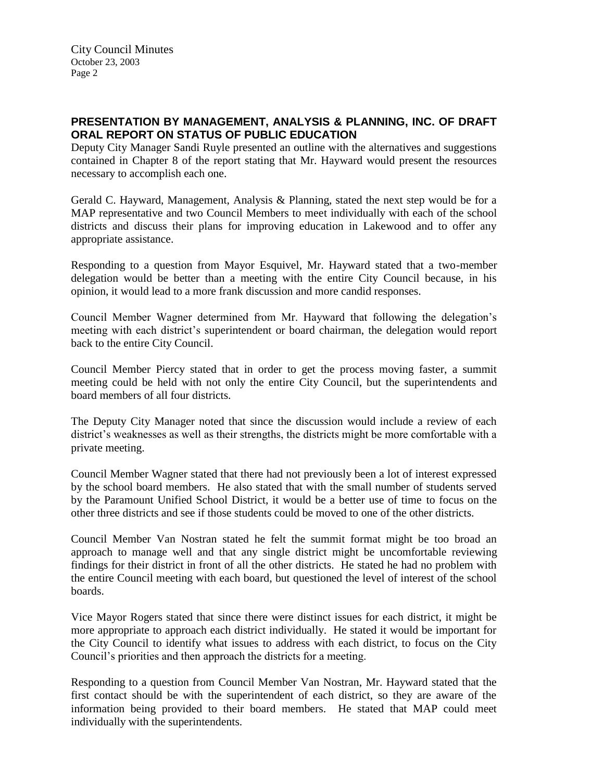## **PRESENTATION BY MANAGEMENT, ANALYSIS & PLANNING, INC. OF DRAFT ORAL REPORT ON STATUS OF PUBLIC EDUCATION**

Deputy City Manager Sandi Ruyle presented an outline with the alternatives and suggestions contained in Chapter 8 of the report stating that Mr. Hayward would present the resources necessary to accomplish each one.

Gerald C. Hayward, Management, Analysis & Planning, stated the next step would be for a MAP representative and two Council Members to meet individually with each of the school districts and discuss their plans for improving education in Lakewood and to offer any appropriate assistance.

Responding to a question from Mayor Esquivel, Mr. Hayward stated that a two-member delegation would be better than a meeting with the entire City Council because, in his opinion, it would lead to a more frank discussion and more candid responses.

Council Member Wagner determined from Mr. Hayward that following the delegation's meeting with each district's superintendent or board chairman, the delegation would report back to the entire City Council.

Council Member Piercy stated that in order to get the process moving faster, a summit meeting could be held with not only the entire City Council, but the superintendents and board members of all four districts.

The Deputy City Manager noted that since the discussion would include a review of each district's weaknesses as well as their strengths, the districts might be more comfortable with a private meeting.

Council Member Wagner stated that there had not previously been a lot of interest expressed by the school board members. He also stated that with the small number of students served by the Paramount Unified School District, it would be a better use of time to focus on the other three districts and see if those students could be moved to one of the other districts.

Council Member Van Nostran stated he felt the summit format might be too broad an approach to manage well and that any single district might be uncomfortable reviewing findings for their district in front of all the other districts. He stated he had no problem with the entire Council meeting with each board, but questioned the level of interest of the school boards.

Vice Mayor Rogers stated that since there were distinct issues for each district, it might be more appropriate to approach each district individually. He stated it would be important for the City Council to identify what issues to address with each district, to focus on the City Council's priorities and then approach the districts for a meeting.

Responding to a question from Council Member Van Nostran, Mr. Hayward stated that the first contact should be with the superintendent of each district, so they are aware of the information being provided to their board members. He stated that MAP could meet individually with the superintendents.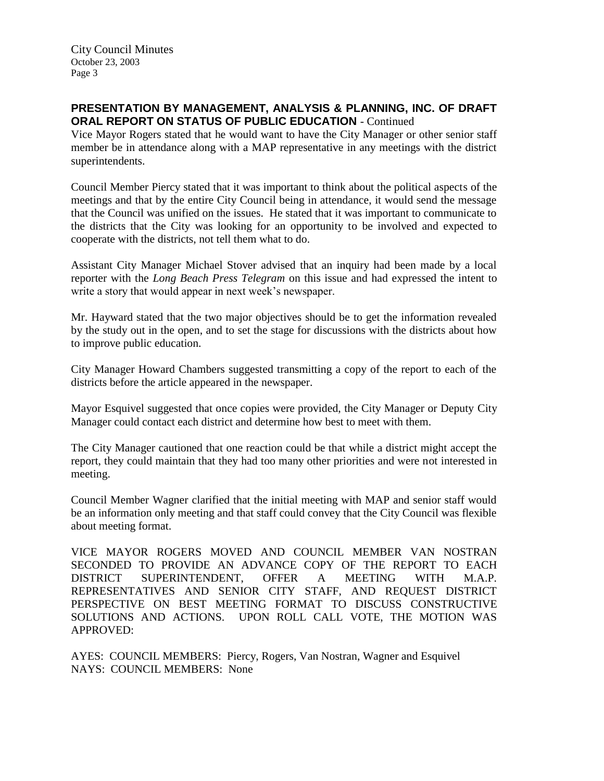### **PRESENTATION BY MANAGEMENT, ANALYSIS & PLANNING, INC. OF DRAFT ORAL REPORT ON STATUS OF PUBLIC EDUCATION** - Continued

Vice Mayor Rogers stated that he would want to have the City Manager or other senior staff member be in attendance along with a MAP representative in any meetings with the district superintendents.

Council Member Piercy stated that it was important to think about the political aspects of the meetings and that by the entire City Council being in attendance, it would send the message that the Council was unified on the issues. He stated that it was important to communicate to the districts that the City was looking for an opportunity to be involved and expected to cooperate with the districts, not tell them what to do.

Assistant City Manager Michael Stover advised that an inquiry had been made by a local reporter with the *Long Beach Press Telegram* on this issue and had expressed the intent to write a story that would appear in next week's newspaper.

Mr. Hayward stated that the two major objectives should be to get the information revealed by the study out in the open, and to set the stage for discussions with the districts about how to improve public education.

City Manager Howard Chambers suggested transmitting a copy of the report to each of the districts before the article appeared in the newspaper.

Mayor Esquivel suggested that once copies were provided, the City Manager or Deputy City Manager could contact each district and determine how best to meet with them.

The City Manager cautioned that one reaction could be that while a district might accept the report, they could maintain that they had too many other priorities and were not interested in meeting.

Council Member Wagner clarified that the initial meeting with MAP and senior staff would be an information only meeting and that staff could convey that the City Council was flexible about meeting format.

VICE MAYOR ROGERS MOVED AND COUNCIL MEMBER VAN NOSTRAN SECONDED TO PROVIDE AN ADVANCE COPY OF THE REPORT TO EACH DISTRICT SUPERINTENDENT, OFFER A MEETING WITH M.A.P. REPRESENTATIVES AND SENIOR CITY STAFF, AND REQUEST DISTRICT PERSPECTIVE ON BEST MEETING FORMAT TO DISCUSS CONSTRUCTIVE SOLUTIONS AND ACTIONS. UPON ROLL CALL VOTE, THE MOTION WAS APPROVED:

AYES: COUNCIL MEMBERS: Piercy, Rogers, Van Nostran, Wagner and Esquivel NAYS: COUNCIL MEMBERS: None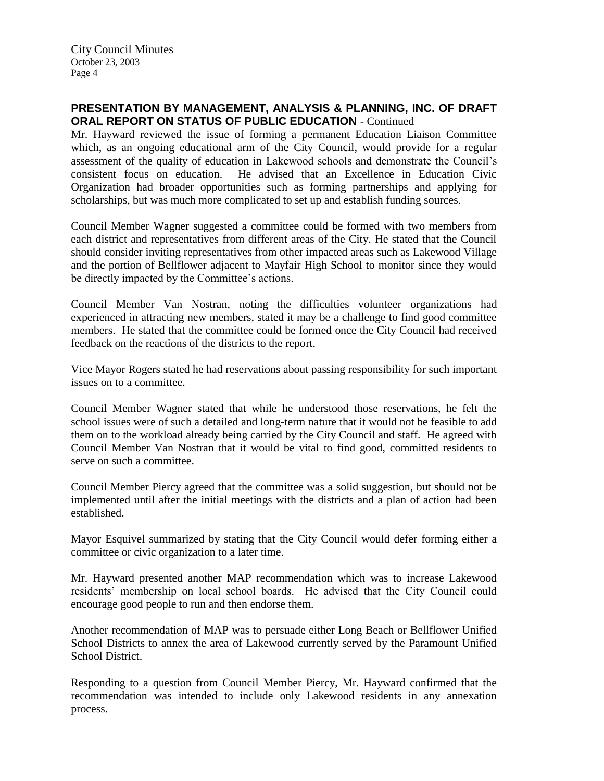### **PRESENTATION BY MANAGEMENT, ANALYSIS & PLANNING, INC. OF DRAFT ORAL REPORT ON STATUS OF PUBLIC EDUCATION** - Continued

Mr. Hayward reviewed the issue of forming a permanent Education Liaison Committee which, as an ongoing educational arm of the City Council, would provide for a regular assessment of the quality of education in Lakewood schools and demonstrate the Council's consistent focus on education. He advised that an Excellence in Education Civic Organization had broader opportunities such as forming partnerships and applying for scholarships, but was much more complicated to set up and establish funding sources.

Council Member Wagner suggested a committee could be formed with two members from each district and representatives from different areas of the City. He stated that the Council should consider inviting representatives from other impacted areas such as Lakewood Village and the portion of Bellflower adjacent to Mayfair High School to monitor since they would be directly impacted by the Committee's actions.

Council Member Van Nostran, noting the difficulties volunteer organizations had experienced in attracting new members, stated it may be a challenge to find good committee members. He stated that the committee could be formed once the City Council had received feedback on the reactions of the districts to the report.

Vice Mayor Rogers stated he had reservations about passing responsibility for such important issues on to a committee.

Council Member Wagner stated that while he understood those reservations, he felt the school issues were of such a detailed and long-term nature that it would not be feasible to add them on to the workload already being carried by the City Council and staff. He agreed with Council Member Van Nostran that it would be vital to find good, committed residents to serve on such a committee.

Council Member Piercy agreed that the committee was a solid suggestion, but should not be implemented until after the initial meetings with the districts and a plan of action had been established.

Mayor Esquivel summarized by stating that the City Council would defer forming either a committee or civic organization to a later time.

Mr. Hayward presented another MAP recommendation which was to increase Lakewood residents' membership on local school boards. He advised that the City Council could encourage good people to run and then endorse them.

Another recommendation of MAP was to persuade either Long Beach or Bellflower Unified School Districts to annex the area of Lakewood currently served by the Paramount Unified School District.

Responding to a question from Council Member Piercy, Mr. Hayward confirmed that the recommendation was intended to include only Lakewood residents in any annexation process.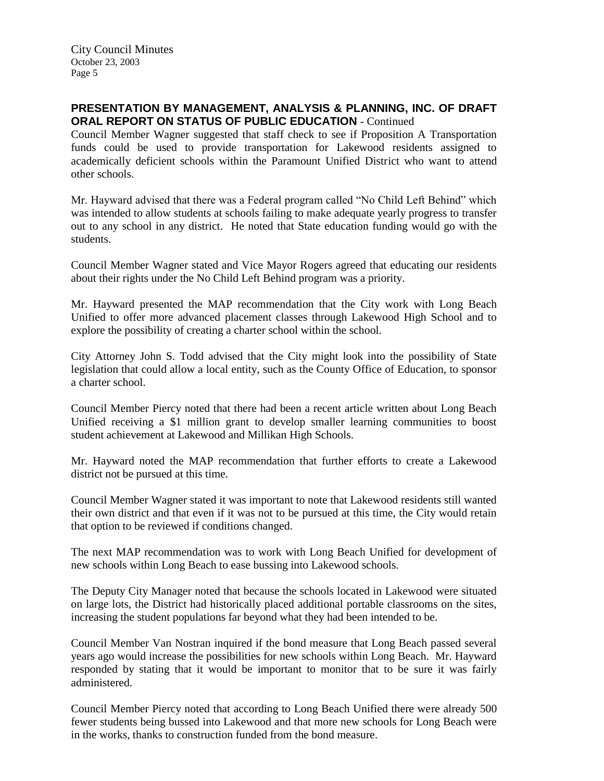#### **PRESENTATION BY MANAGEMENT, ANALYSIS & PLANNING, INC. OF DRAFT ORAL REPORT ON STATUS OF PUBLIC EDUCATION** - Continued

Council Member Wagner suggested that staff check to see if Proposition A Transportation funds could be used to provide transportation for Lakewood residents assigned to academically deficient schools within the Paramount Unified District who want to attend other schools.

Mr. Hayward advised that there was a Federal program called "No Child Left Behind" which was intended to allow students at schools failing to make adequate yearly progress to transfer out to any school in any district. He noted that State education funding would go with the students.

Council Member Wagner stated and Vice Mayor Rogers agreed that educating our residents about their rights under the No Child Left Behind program was a priority.

Mr. Hayward presented the MAP recommendation that the City work with Long Beach Unified to offer more advanced placement classes through Lakewood High School and to explore the possibility of creating a charter school within the school.

City Attorney John S. Todd advised that the City might look into the possibility of State legislation that could allow a local entity, such as the County Office of Education, to sponsor a charter school.

Council Member Piercy noted that there had been a recent article written about Long Beach Unified receiving a \$1 million grant to develop smaller learning communities to boost student achievement at Lakewood and Millikan High Schools.

Mr. Hayward noted the MAP recommendation that further efforts to create a Lakewood district not be pursued at this time.

Council Member Wagner stated it was important to note that Lakewood residents still wanted their own district and that even if it was not to be pursued at this time, the City would retain that option to be reviewed if conditions changed.

The next MAP recommendation was to work with Long Beach Unified for development of new schools within Long Beach to ease bussing into Lakewood schools.

The Deputy City Manager noted that because the schools located in Lakewood were situated on large lots, the District had historically placed additional portable classrooms on the sites, increasing the student populations far beyond what they had been intended to be.

Council Member Van Nostran inquired if the bond measure that Long Beach passed several years ago would increase the possibilities for new schools within Long Beach. Mr. Hayward responded by stating that it would be important to monitor that to be sure it was fairly administered.

Council Member Piercy noted that according to Long Beach Unified there were already 500 fewer students being bussed into Lakewood and that more new schools for Long Beach were in the works, thanks to construction funded from the bond measure.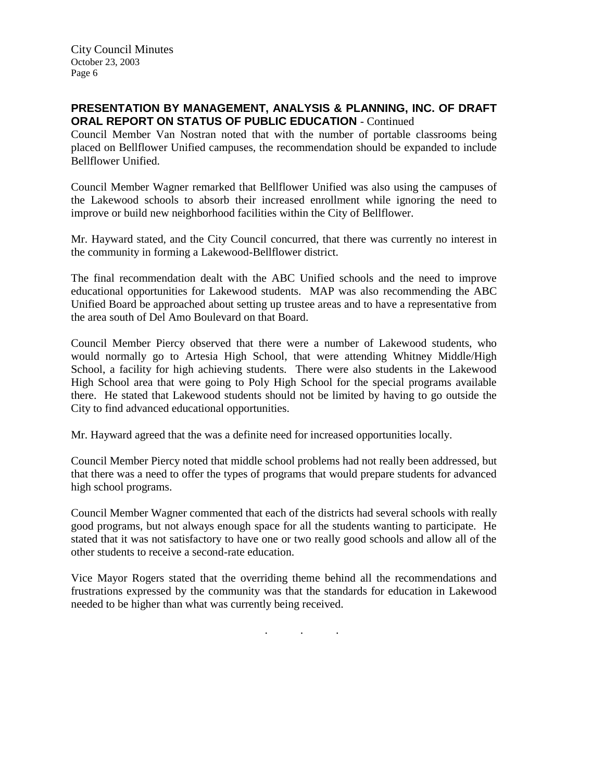### **PRESENTATION BY MANAGEMENT, ANALYSIS & PLANNING, INC. OF DRAFT ORAL REPORT ON STATUS OF PUBLIC EDUCATION** - Continued

Council Member Van Nostran noted that with the number of portable classrooms being placed on Bellflower Unified campuses, the recommendation should be expanded to include Bellflower Unified.

Council Member Wagner remarked that Bellflower Unified was also using the campuses of the Lakewood schools to absorb their increased enrollment while ignoring the need to improve or build new neighborhood facilities within the City of Bellflower.

Mr. Hayward stated, and the City Council concurred, that there was currently no interest in the community in forming a Lakewood-Bellflower district.

The final recommendation dealt with the ABC Unified schools and the need to improve educational opportunities for Lakewood students. MAP was also recommending the ABC Unified Board be approached about setting up trustee areas and to have a representative from the area south of Del Amo Boulevard on that Board.

Council Member Piercy observed that there were a number of Lakewood students, who would normally go to Artesia High School, that were attending Whitney Middle/High School, a facility for high achieving students. There were also students in the Lakewood High School area that were going to Poly High School for the special programs available there. He stated that Lakewood students should not be limited by having to go outside the City to find advanced educational opportunities.

Mr. Hayward agreed that the was a definite need for increased opportunities locally.

Council Member Piercy noted that middle school problems had not really been addressed, but that there was a need to offer the types of programs that would prepare students for advanced high school programs.

Council Member Wagner commented that each of the districts had several schools with really good programs, but not always enough space for all the students wanting to participate. He stated that it was not satisfactory to have one or two really good schools and allow all of the other students to receive a second-rate education.

Vice Mayor Rogers stated that the overriding theme behind all the recommendations and frustrations expressed by the community was that the standards for education in Lakewood needed to be higher than what was currently being received.

. . .